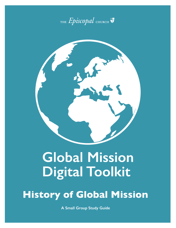



# **Global Mission Digital Toolkit**

**History of Global Mission**

**A Small Group Study Guide**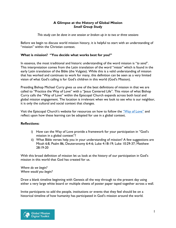#### **A Glimpse at the History of Global Mission**  *Small Group Study*

*This study can be done in one session or broken up in to two or three sessions*

Before we begin to discuss world mission history, it is helpful to start with an understanding of "mission" within the Christian context.

# **What is mission? "You decide what works best for you!"**

In essence, the most traditional and historic understanding of the word mission is "*to send*". This interpretation comes from the Latin translation of the word "*missio"* which is found in the early Latin translation of the Bible (the Vulgate). While this is a valid understanding of mission that has worked and continues to work for many, this definition can be seen as a very limited vision of what God's calling is for God's children in this world (God's Mission).

Presiding Bishop Michael Curry gives us one of the best definitions of mission in that we are called to "Practice the Way of Love" with a "Jesus Centered Life". This vision of what Bishop Curry calls the "Way of Love" within the Episcopal Church expands across both local and global mission engagement. The location is irrelevant when we look to see who is our neighbor, it is only the cultural and social context that changes.

Visit the Episcopal Church's website for resources on how to follow the ["Way of Love"](https://episcopalchurch.org/way-of-love) and reflect upon how these learning can be adopted for use in a global context.

# **Reflections:**

- i) How can the Way of Love provide a framework for your participation in "God's mission in a global context"?
- ii) What Bible verses help you in your understanding of mission? A few suggestions are Micah 6:8, Psalm 86, Deuteronomy 6:4-6; Luke 4:18-19; Luke 10:29-37; Matthew 28:19-20

With this broad definition of mission let us look at the history of our participation in God's mission in this world that God has created for us.

*Where do we begin? Where would you begin?*

Draw a blank timeline beginning with Genesis all the way through to the present day using either a very large white board or multiple sheets of poster paper taped together across a wall.

Invite participants to add the people, institutions or events that they feel should be on a historical timeline of how humanity has participated in God's mission around the world.

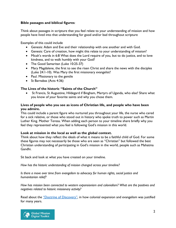### **Bible passages and biblical figures**:

Think about passages in scripture that you feel relate to your understanding of mission and how people have lived into that understanding for good and/or bad throughout scripture

Examples of this could include

- Genesis: Adam and Eve and their relationship with one another and with God.
- Genesis: Care of creation, how might this relate to your understanding of mission?
- Micah's words in 6:8 What does the Lord require of you, but to do justice, and to love kindness, and to walk humbly with your God?
- The Good Samaritan (Luke 10:25-37)
- Mary Magdalene, the first to see the risen Christ and share the news with the disciples (Luke 24:1-10). Was Mary the first missionary evangelist?
- Paul. Missionary to the gentile
- St Barnabas (Acts 4:36)

## **The Lives of the historic "Saints of the Church"**

• St Francis, St Augustine, Hildegard if Bingham, Martyrs of Uganda, who else? Share what you know of your favorite saints and why you chose them.

### **Lives of people who you see as icons of Christian life, and people who have been you admire.**

This could include a parent figure who nurtured you throughout your life, the nurse who cared for a sick relative, or those who stood out in history who spoke truth to power such as Martin Luther King. Mother Teresa. When adding each person to your timeline share briefly why you feel they represented what you feel is following God's mission in this world.

#### **Look at mission in the local as well as the global context.**

Think about how they reflect the ideals of what it means to be a faithful child of God. For some these figures may not necessarily be those who are seen as "Christian" but followed the best Christian understanding of participating in God's mission in the world, people such as Mahatma Gandhi.

Sit back and look at what you have created on your timeline.

*How has the historic understanding of mission changed across your timeline?*

*Is there a move over time from evangelism to advocacy for human rights, social justice and humanitarian relief?* 

*How has mission been connected to western expansionism and colonialism? What are the positives and negatives related to historic missionary activity?*

Read about the ["Doctrine of Discovery",](https://www.episcopalchurch.org/category/doctrine-of-discovery/) in how colonial expansion and evangelism was justified for many years.